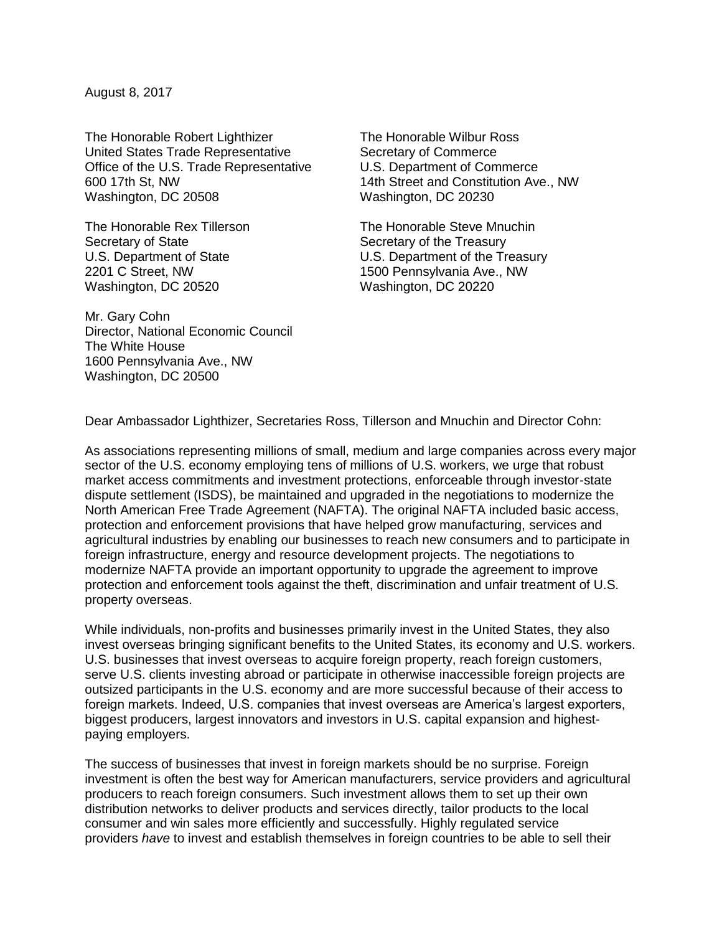August 8, 2017

The Honorable Robert Lighthizer United States Trade Representative Office of the U.S. Trade Representative 600 17th St, NW Washington, DC 20508

The Honorable Rex Tillerson Secretary of State U.S. Department of State 2201 C Street, NW Washington, DC 20520

The Honorable Wilbur Ross Secretary of Commerce U.S. Department of Commerce 14th Street and Constitution Ave., NW Washington, DC 20230

The Honorable Steve Mnuchin Secretary of the Treasury U.S. Department of the Treasury 1500 Pennsylvania Ave., NW Washington, DC 20220

Mr. Gary Cohn Director, National Economic Council The White House 1600 Pennsylvania Ave., NW Washington, DC 20500

Dear Ambassador Lighthizer, Secretaries Ross, Tillerson and Mnuchin and Director Cohn:

As associations representing millions of small, medium and large companies across every major sector of the U.S. economy employing tens of millions of U.S. workers, we urge that robust market access commitments and investment protections, enforceable through investor-state dispute settlement (ISDS), be maintained and upgraded in the negotiations to modernize the North American Free Trade Agreement (NAFTA). The original NAFTA included basic access, protection and enforcement provisions that have helped grow manufacturing, services and agricultural industries by enabling our businesses to reach new consumers and to participate in foreign infrastructure, energy and resource development projects. The negotiations to modernize NAFTA provide an important opportunity to upgrade the agreement to improve protection and enforcement tools against the theft, discrimination and unfair treatment of U.S. property overseas.

While individuals, non-profits and businesses primarily invest in the United States, they also invest overseas bringing significant benefits to the United States, its economy and U.S. workers. U.S. businesses that invest overseas to acquire foreign property, reach foreign customers, serve U.S. clients investing abroad or participate in otherwise inaccessible foreign projects are outsized participants in the U.S. economy and are more successful because of their access to foreign markets. Indeed, U.S. companies that invest overseas are America's largest exporters, biggest producers, largest innovators and investors in U.S. capital expansion and highestpaying employers.

The success of businesses that invest in foreign markets should be no surprise. Foreign investment is often the best way for American manufacturers, service providers and agricultural producers to reach foreign consumers. Such investment allows them to set up their own distribution networks to deliver products and services directly, tailor products to the local consumer and win sales more efficiently and successfully. Highly regulated service providers *have* to invest and establish themselves in foreign countries to be able to sell their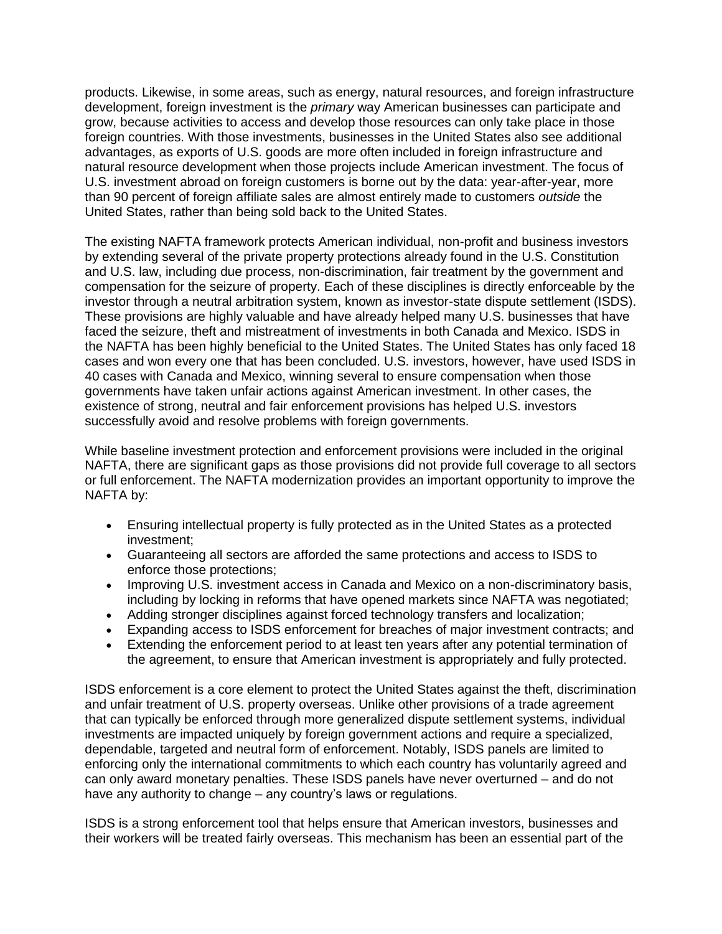products. Likewise, in some areas, such as energy, natural resources, and foreign infrastructure development, foreign investment is the *primary* way American businesses can participate and grow, because activities to access and develop those resources can only take place in those foreign countries. With those investments, businesses in the United States also see additional advantages, as exports of U.S. goods are more often included in foreign infrastructure and natural resource development when those projects include American investment. The focus of U.S. investment abroad on foreign customers is borne out by the data: year-after-year, more than 90 percent of foreign affiliate sales are almost entirely made to customers *outside* the United States, rather than being sold back to the United States.

The existing NAFTA framework protects American individual, non-profit and business investors by extending several of the private property protections already found in the U.S. Constitution and U.S. law, including due process, non-discrimination, fair treatment by the government and compensation for the seizure of property. Each of these disciplines is directly enforceable by the investor through a neutral arbitration system, known as investor-state dispute settlement (ISDS). These provisions are highly valuable and have already helped many U.S. businesses that have faced the seizure, theft and mistreatment of investments in both Canada and Mexico. ISDS in the NAFTA has been highly beneficial to the United States. The United States has only faced 18 cases and won every one that has been concluded. U.S. investors, however, have used ISDS in 40 cases with Canada and Mexico, winning several to ensure compensation when those governments have taken unfair actions against American investment. In other cases, the existence of strong, neutral and fair enforcement provisions has helped U.S. investors successfully avoid and resolve problems with foreign governments.

While baseline investment protection and enforcement provisions were included in the original NAFTA, there are significant gaps as those provisions did not provide full coverage to all sectors or full enforcement. The NAFTA modernization provides an important opportunity to improve the NAFTA by:

- Ensuring intellectual property is fully protected as in the United States as a protected investment;
- Guaranteeing all sectors are afforded the same protections and access to ISDS to enforce those protections;
- Improving U.S. investment access in Canada and Mexico on a non-discriminatory basis, including by locking in reforms that have opened markets since NAFTA was negotiated;
- Adding stronger disciplines against forced technology transfers and localization;
- Expanding access to ISDS enforcement for breaches of major investment contracts; and
- Extending the enforcement period to at least ten years after any potential termination of the agreement, to ensure that American investment is appropriately and fully protected.

ISDS enforcement is a core element to protect the United States against the theft, discrimination and unfair treatment of U.S. property overseas. Unlike other provisions of a trade agreement that can typically be enforced through more generalized dispute settlement systems, individual investments are impacted uniquely by foreign government actions and require a specialized, dependable, targeted and neutral form of enforcement. Notably, ISDS panels are limited to enforcing only the international commitments to which each country has voluntarily agreed and can only award monetary penalties. These ISDS panels have never overturned – and do not have any authority to change – any country's laws or regulations.

ISDS is a strong enforcement tool that helps ensure that American investors, businesses and their workers will be treated fairly overseas. This mechanism has been an essential part of the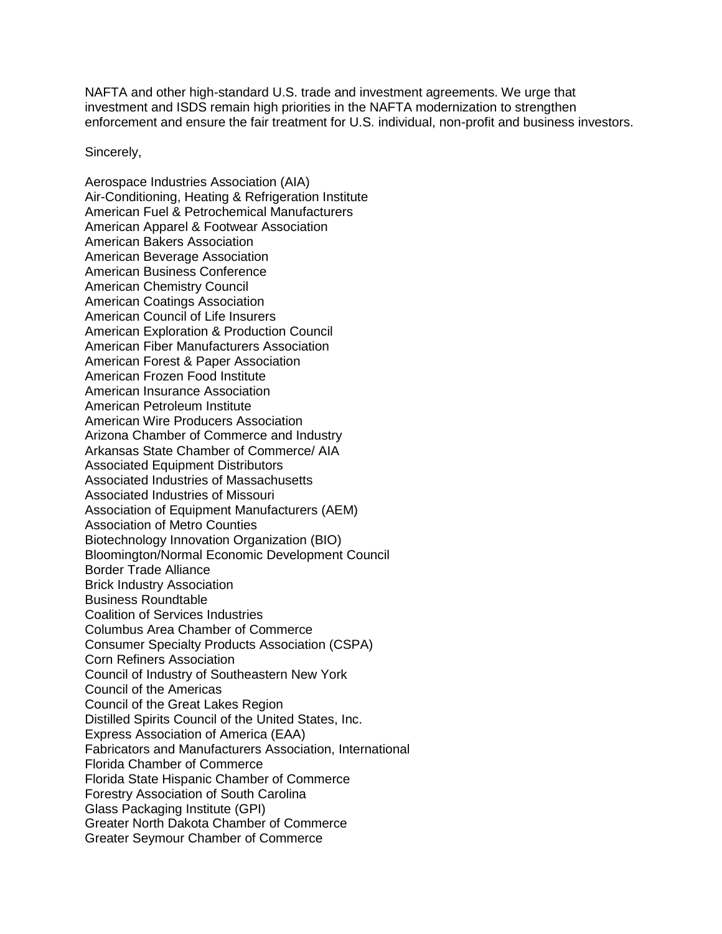NAFTA and other high-standard U.S. trade and investment agreements. We urge that investment and ISDS remain high priorities in the NAFTA modernization to strengthen enforcement and ensure the fair treatment for U.S. individual, non-profit and business investors.

Sincerely,

Aerospace Industries Association (AIA) Air-Conditioning, Heating & Refrigeration Institute American Fuel & Petrochemical Manufacturers American Apparel & Footwear Association American Bakers Association American Beverage Association American Business Conference American Chemistry Council American Coatings Association American Council of Life Insurers American Exploration & Production Council American Fiber Manufacturers Association American Forest & Paper Association American Frozen Food Institute American Insurance Association American Petroleum Institute American Wire Producers Association Arizona Chamber of Commerce and Industry Arkansas State Chamber of Commerce/ AIA Associated Equipment Distributors Associated Industries of Massachusetts Associated Industries of Missouri Association of Equipment Manufacturers (AEM) Association of Metro Counties Biotechnology Innovation Organization (BIO) Bloomington/Normal Economic Development Council Border Trade Alliance Brick Industry Association Business Roundtable Coalition of Services Industries Columbus Area Chamber of Commerce Consumer Specialty Products Association (CSPA) Corn Refiners Association Council of Industry of Southeastern New York Council of the Americas Council of the Great Lakes Region Distilled Spirits Council of the United States, Inc. Express Association of America (EAA) Fabricators and Manufacturers Association, International Florida Chamber of Commerce Florida State Hispanic Chamber of Commerce Forestry Association of South Carolina Glass Packaging Institute (GPI) Greater North Dakota Chamber of Commerce Greater Seymour Chamber of Commerce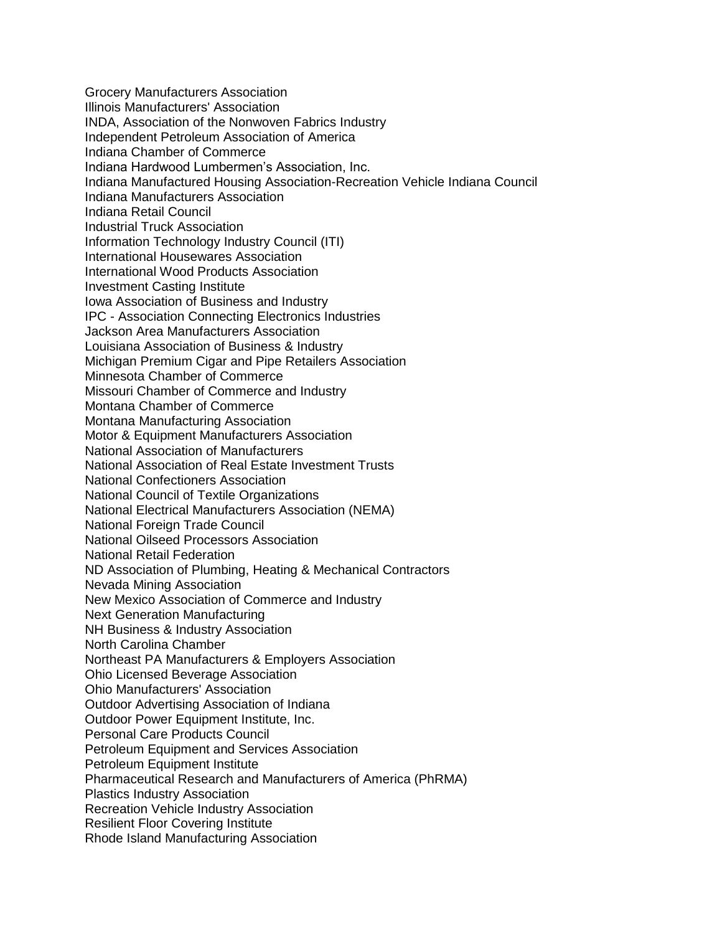Grocery Manufacturers Association Illinois Manufacturers' Association INDA, Association of the Nonwoven Fabrics Industry Independent Petroleum Association of America Indiana Chamber of Commerce Indiana Hardwood Lumbermen's Association, Inc. Indiana Manufactured Housing Association-Recreation Vehicle Indiana Council Indiana Manufacturers Association Indiana Retail Council Industrial Truck Association Information Technology Industry Council (ITI) International Housewares Association International Wood Products Association Investment Casting Institute Iowa Association of Business and Industry IPC - Association Connecting Electronics Industries Jackson Area Manufacturers Association Louisiana Association of Business & Industry Michigan Premium Cigar and Pipe Retailers Association Minnesota Chamber of Commerce Missouri Chamber of Commerce and Industry Montana Chamber of Commerce Montana Manufacturing Association Motor & Equipment Manufacturers Association National Association of Manufacturers National Association of Real Estate Investment Trusts National Confectioners Association National Council of Textile Organizations National Electrical Manufacturers Association (NEMA) National Foreign Trade Council National Oilseed Processors Association National Retail Federation ND Association of Plumbing, Heating & Mechanical Contractors Nevada Mining Association New Mexico Association of Commerce and Industry Next Generation Manufacturing NH Business & Industry Association North Carolina Chamber Northeast PA Manufacturers & Employers Association Ohio Licensed Beverage Association Ohio Manufacturers' Association Outdoor Advertising Association of Indiana Outdoor Power Equipment Institute, Inc. Personal Care Products Council Petroleum Equipment and Services Association Petroleum Equipment Institute Pharmaceutical Research and Manufacturers of America (PhRMA) Plastics Industry Association Recreation Vehicle Industry Association Resilient Floor Covering Institute Rhode Island Manufacturing Association